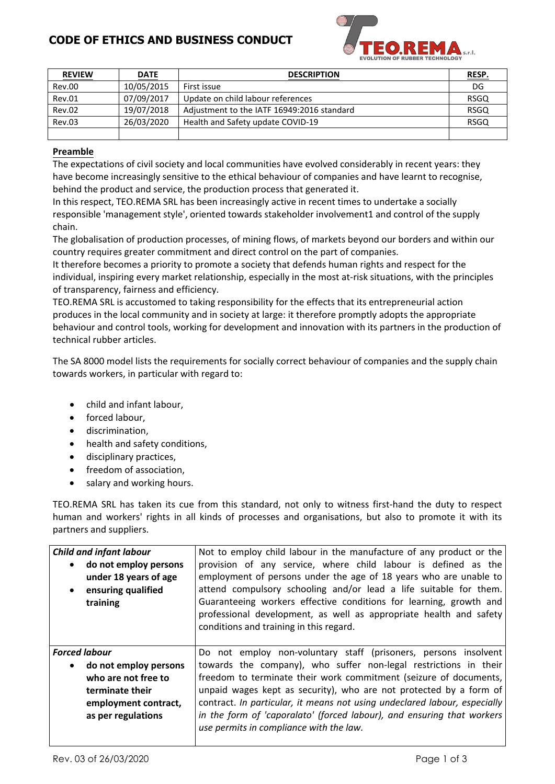## **CODE OF ETHICS AND BUSINESS CONDUCT**



| <b>REVIEW</b> | <b>DATE</b> | <b>DESCRIPTION</b>                         | RESP.       |
|---------------|-------------|--------------------------------------------|-------------|
| Rev.00        | 10/05/2015  | First issue                                | DG          |
| Rev.01        | 07/09/2017  | Update on child labour references          | <b>RSGQ</b> |
| Rev.02        | 19/07/2018  | Adjustment to the IATF 16949:2016 standard | <b>RSGQ</b> |
| <b>Rev.03</b> | 26/03/2020  | Health and Safety update COVID-19          | <b>RSGQ</b> |
|               |             |                                            |             |

#### Preamble

The expectations of civil society and local communities have evolved considerably in recent years: they have become increasingly sensitive to the ethical behaviour of companies and have learnt to recognise, behind the product and service, the production process that generated it.

In this respect, TEO.REMA SRL has been increasingly active in recent times to undertake a socially responsible 'management style', oriented towards stakeholder involvement1 and control of the supply chain.

The globalisation of production processes, of mining flows, of markets beyond our borders and within our country requires greater commitment and direct control on the part of companies.

It therefore becomes a priority to promote a society that defends human rights and respect for the individual, inspiring every market relationship, especially in the most at-risk situations, with the principles of transparency, fairness and efficiency.

TEO.REMA SRL is accustomed to taking responsibility for the effects that its entrepreneurial action produces in the local community and in society at large: it therefore promptly adopts the appropriate behaviour and control tools, working for development and innovation with its partners in the production of technical rubber articles.

The SA 8000 model lists the requirements for socially correct behaviour of companies and the supply chain towards workers, in particular with regard to:

- child and infant labour,  $\bullet$
- forced labour.
- $\bullet$ discrimination,
- health and safety conditions,
- disciplinary practices.  $\bullet$
- freedom of association,
- salary and working hours.  $\bullet$

TEO.REMA SRL has taken its cue from this standard, not only to witness first-hand the duty to respect human and workers' rights in all kinds of processes and organisations, but also to promote it with its partners and suppliers.

| <b>Child and infant labour</b><br>• do not employ persons<br>under 18 years of age<br>• ensuring qualified<br>training                  | Not to employ child labour in the manufacture of any product or the<br>provision of any service, where child labour is defined as the<br>employment of persons under the age of 18 years who are unable to<br>attend compulsory schooling and/or lead a life suitable for them.<br>Guaranteeing workers effective conditions for learning, growth and<br>professional development, as well as appropriate health and safety                                                                                                 |
|-----------------------------------------------------------------------------------------------------------------------------------------|-----------------------------------------------------------------------------------------------------------------------------------------------------------------------------------------------------------------------------------------------------------------------------------------------------------------------------------------------------------------------------------------------------------------------------------------------------------------------------------------------------------------------------|
| <b>Forced labour</b><br>• do not employ persons<br>who are not free to<br>terminate their<br>employment contract,<br>as per regulations | conditions and training in this regard.<br>Do not employ non-voluntary staff (prisoners, persons insolvent<br>towards the company), who suffer non-legal restrictions in their<br>freedom to terminate their work commitment (seizure of documents,<br>unpaid wages kept as security), who are not protected by a form of<br>contract. In particular, it means not using undeclared labour, especially<br>in the form of 'caporalato' (forced labour), and ensuring that workers<br>use permits in compliance with the law. |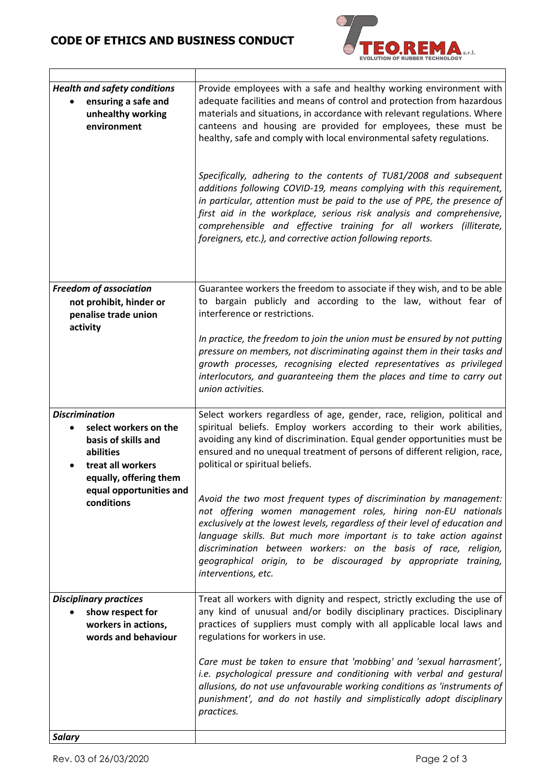# **CODE OF ETHICS AND BUSINESS CONDUCT**



| <b>Health and safety conditions</b><br>ensuring a safe and<br>unhealthy working<br>environment                                                                             | Provide employees with a safe and healthy working environment with<br>adequate facilities and means of control and protection from hazardous<br>materials and situations, in accordance with relevant regulations. Where<br>canteens and housing are provided for employees, these must be<br>healthy, safe and comply with local environmental safety regulations.<br>Specifically, adhering to the contents of TU81/2008 and subsequent<br>additions following COVID-19, means complying with this requirement,<br>in particular, attention must be paid to the use of PPE, the presence of<br>first aid in the workplace, serious risk analysis and comprehensive,<br>comprehensible and effective training for all workers (illiterate,<br>foreigners, etc.), and corrective action following reports. |
|----------------------------------------------------------------------------------------------------------------------------------------------------------------------------|------------------------------------------------------------------------------------------------------------------------------------------------------------------------------------------------------------------------------------------------------------------------------------------------------------------------------------------------------------------------------------------------------------------------------------------------------------------------------------------------------------------------------------------------------------------------------------------------------------------------------------------------------------------------------------------------------------------------------------------------------------------------------------------------------------|
| <b>Freedom of association</b><br>not prohibit, hinder or<br>penalise trade union<br>activity                                                                               | Guarantee workers the freedom to associate if they wish, and to be able<br>bargain publicly and according to the law, without fear of<br>to<br>interference or restrictions.<br>In practice, the freedom to join the union must be ensured by not putting<br>pressure on members, not discriminating against them in their tasks and<br>growth processes, recognising elected representatives as privileged<br>interlocutors, and guaranteeing them the places and time to carry out<br>union activities.                                                                                                                                                                                                                                                                                                  |
| <b>Discrimination</b><br>select workers on the<br>basis of skills and<br>abilities<br>treat all workers<br>equally, offering them<br>equal opportunities and<br>conditions | Select workers regardless of age, gender, race, religion, political and<br>spiritual beliefs. Employ workers according to their work abilities,<br>avoiding any kind of discrimination. Equal gender opportunities must be<br>ensured and no unequal treatment of persons of different religion, race,<br>political or spiritual beliefs.<br>Avoid the two most frequent types of discrimination by management:<br>not offering women management roles, hiring non-EU nationals<br>exclusively at the lowest levels, regardless of their level of education and<br>language skills. But much more important is to take action against<br>discrimination between workers: on the basis of race, religion,<br>geographical origin, to be discouraged by appropriate training,<br>interventions, etc.         |
| <b>Disciplinary practices</b><br>show respect for<br>workers in actions,<br>words and behaviour<br><b>Salary</b>                                                           | Treat all workers with dignity and respect, strictly excluding the use of<br>any kind of unusual and/or bodily disciplinary practices. Disciplinary<br>practices of suppliers must comply with all applicable local laws and<br>regulations for workers in use.<br>Care must be taken to ensure that 'mobbing' and 'sexual harrasment',<br>i.e. psychological pressure and conditioning with verbal and gestural<br>allusions, do not use unfavourable working conditions as 'instruments of<br>punishment', and do not hastily and simplistically adopt disciplinary<br>practices.                                                                                                                                                                                                                        |
|                                                                                                                                                                            |                                                                                                                                                                                                                                                                                                                                                                                                                                                                                                                                                                                                                                                                                                                                                                                                            |